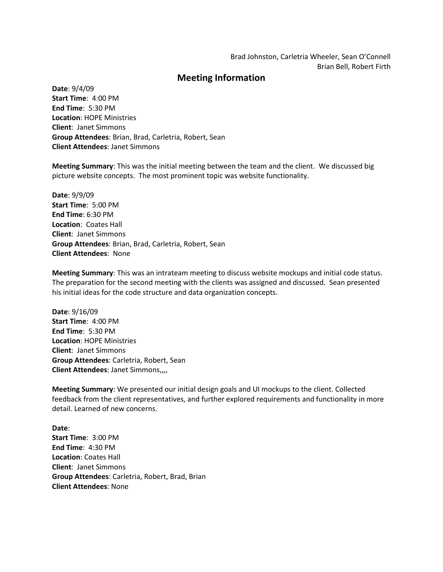## **Meeting Information**

**Date**: 9/4/09 **Start Time**: 4:00 PM **End Time**: 5:30 PM **Location**: HOPE Ministries **Client**: Janet Simmons **Group Attendees**: Brian, Brad, Carletria, Robert, Sean **Client Attendees**: Janet Simmons

**Meeting Summary**: This was the initial meeting between the team and the client. We discussed big picture website concepts. The most prominent topic was website functionality.

**Date**: 9/9/09 **Start Time**: 5:00 PM **End Time**: 6:30 PM **Location**: Coates Hall **Client**: Janet Simmons **Group Attendees**: Brian, Brad, Carletria, Robert, Sean **Client Attendees**: None

**Meeting Summary**: This was an intrateam meeting to discuss website mockups and initial code status. The preparation for the second meeting with the clients was assigned and discussed. Sean presented his initial ideas for the code structure and data organization concepts.

**Date**: 9/16/09 **Start Time**: 4:00 PM **End Time**: 5:30 PM **Location**: HOPE Ministries **Client**: Janet Simmons **Group Attendees**: Carletria, Robert, Sean **Client Attendees**: Janet Simmons,,,,

**Meeting Summary**: We presented our initial design goals and UI mockups to the client. Collected feedback from the client representatives, and further explored requirements and functionality in more detail. Learned of new concerns.

**Date**: **Start Time**: 3:00 PM **End Time**: 4:30 PM **Location**: Coates Hall **Client**: Janet Simmons **Group Attendees**: Carletria, Robert, Brad, Brian **Client Attendees**: None